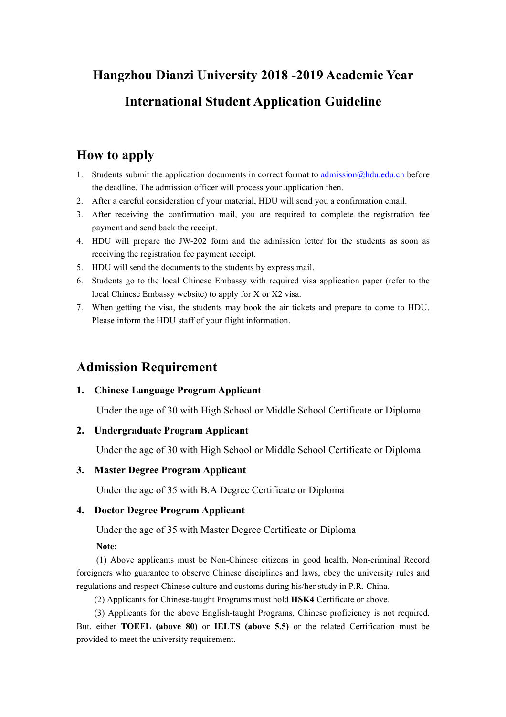# **Hangzhou Dianzi University 2018 -2019 Academic Year International Student Application Guideline**

### **How to apply**

- 1. Students submit the application documents in correct format to admission $\omega$ hdu.edu.cn before the deadline. The admission officer will process your application then.
- 2. After a careful consideration of your material, HDU will send you a confirmation email.
- 3. After receiving the confirmation mail, you are required to complete the registration fee payment and send back the receipt.
- 4. HDU will prepare the JW-202 form and the admission letter for the students as soon as receiving the registration fee payment receipt.
- 5. HDU will send the documents to the students by express mail.
- 6. Students go to the local Chinese Embassy with required visa application paper (refer to the local Chinese Embassy website) to apply for X or X2 visa.
- 7. When getting the visa, the students may book the air tickets and prepare to come to HDU. Please inform the HDU staff of your flight information.

### **Admission Requirement**

#### **1. Chinese Language Program Applicant**

Under the age of 30 with High School or Middle School Certificate or Diploma

#### **2. Undergraduate Program Applicant**

Under the age of 30 with High School or Middle School Certificate or Diploma

#### **3. Master Degree Program Applicant**

Under the age of 35 with B.A Degree Certificate or Diploma

#### **4. Doctor Degree Program Applicant**

Under the age of 35 with Master Degree Certificate or Diploma

**Note:**

(1) Above applicants must be Non-Chinese citizens in good health, Non-criminal Record foreigners who guarantee to observe Chinese disciplines and laws, obey the university rules and regulations and respect Chinese culture and customs during his/her study in P.R. China.

(2) Applicants for Chinese-taught Programs must hold **HSK4** Certificate or above.

(3) Applicants for the above English-taught Programs, Chinese proficiency is not required. But, either **TOEFL (above 80)** or **IELTS (above 5.5)** or the related Certification must be provided to meet the university requirement.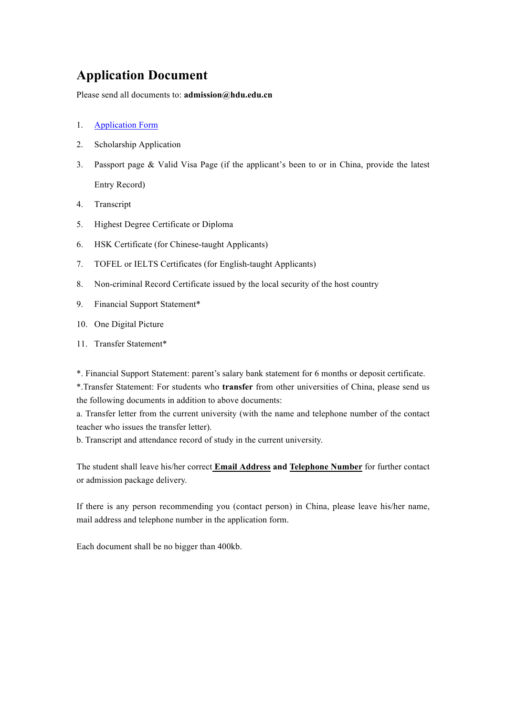### **Application Document**

Please send all documents to: **admission@hdu.edu.cn**

- 1. Application Form
- 2. Scholarship Application
- 3. Passport page & Valid Visa Page (if the applicant's been to or in China, provide the latest Entry Record)
- 4. Transcript
- 5. Highest Degree Certificate or Diploma
- 6. HSK Certificate (for Chinese-taught Applicants)
- 7. TOFEL or IELTS Certificates (for English-taught Applicants)
- 8. Non-criminal Record Certificate issued by the local security of the host country
- 9. Financial Support Statement\*
- 10. One Digital Picture
- 11. Transfer Statement\*

\*. Financial Support Statement: parent's salary bank statement for 6 months or deposit certificate.

\*.Transfer Statement: For students who **transfer** from other universities of China, please send us the following documents in addition to above documents:

a. Transfer letter from the current university (with the name and telephone number of the contact teacher who issues the transfer letter).

b. Transcript and attendance record of study in the current university.

The student shall leave his/her correct **Email Address and Telephone Number** for further contact or admission package delivery.

If there is any person recommending you (contact person) in China, please leave his/her name, mail address and telephone number in the application form.

Each document shall be no bigger than 400kb.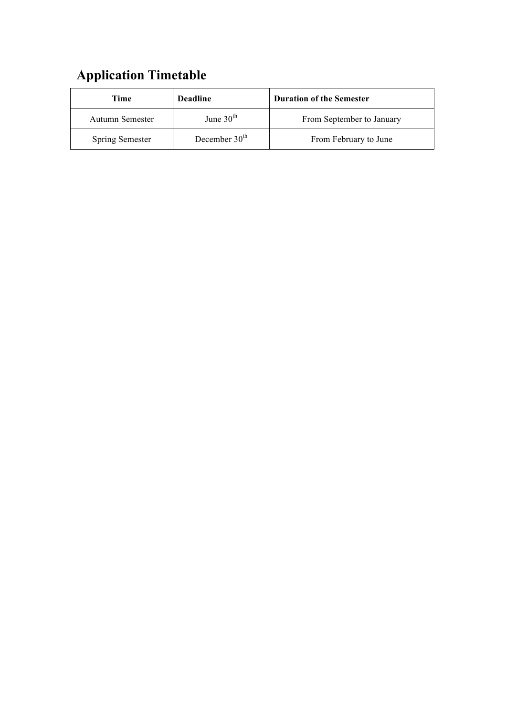# **Application Timetable**

| Time                   | <b>Deadline</b> | <b>Duration of the Semester</b> |
|------------------------|-----------------|---------------------------------|
| Autumn Semester        | June $30th$     | From September to January       |
| <b>Spring Semester</b> | December $30th$ | From February to June           |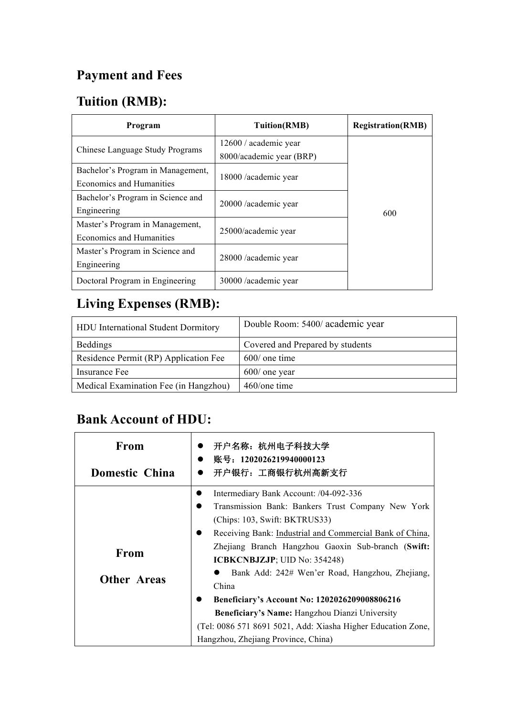# **Payment and Fees**

# **Tuition (RMB):**

| Program                           | <b>Tuition(RMB)</b>      | <b>Registration(RMB)</b> |
|-----------------------------------|--------------------------|--------------------------|
| Chinese Language Study Programs   | 12600 / academic year    |                          |
|                                   | 8000/academic year (BRP) |                          |
| Bachelor's Program in Management, | 18000 /academic year     |                          |
| Economics and Humanities          |                          |                          |
| Bachelor's Program in Science and | 20000 / academic year    | 600                      |
| Engineering                       |                          |                          |
| Master's Program in Management,   |                          |                          |
| Economics and Humanities          | 25000/academic year      |                          |
| Master's Program in Science and   |                          |                          |
| Engineering                       | 28000 /academic year     |                          |
| Doctoral Program in Engineering   | 30000 /academic year     |                          |

## **Living Expenses (RMB):**

| <b>HDU</b> International Student Dormitory | Double Room: 5400/ academic year |
|--------------------------------------------|----------------------------------|
| <b>Beddings</b>                            | Covered and Prepared by students |
| Residence Permit (RP) Application Fee      | $600/$ one time                  |
| Insurance Fee                              | $600/$ one year                  |
| Medical Examination Fee (in Hangzhou)      | 460/one time                     |

## **Bank Account of HDU:**

| From                       | 开户名称: 杭州电子科技大学                                                                                                                                                                                         |
|----------------------------|--------------------------------------------------------------------------------------------------------------------------------------------------------------------------------------------------------|
| Domestic China             | 账号: 1202026219940000123<br>开户银行: 工商银行杭州高新支行                                                                                                                                                            |
|                            | Intermediary Bank Account: /04-092-336<br>Transmission Bank: Bankers Trust Company New York<br>(Chips: 103, Swift: BKTRUS33)<br>Receiving Bank: Industrial and Commercial Bank of China,               |
| From<br><b>Other Areas</b> | Zhejiang Branch Hangzhou Gaoxin Sub-branch (Swift:<br><b>ICBKCNBJZJP</b> ; UID No: 354248)<br>Bank Add: 242# Wen'er Road, Hangzhou, Zhejiang,<br>China                                                 |
|                            | Beneficiary's Account No: 1202026209008806216<br>Beneficiary's Name: Hangzhou Dianzi University<br>(Tel: 0086 571 8691 5021, Add: Xiasha Higher Education Zone,<br>Hangzhou, Zhejiang Province, China) |